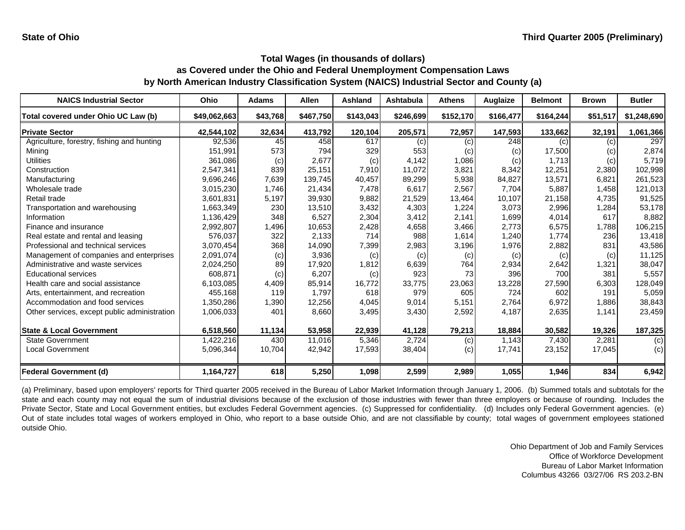| <b>NAICS Industrial Sector</b>               | Ohio         | Adams    | <b>Allen</b> | <b>Ashland</b> | Ashtabula | <b>Athens</b> | Auglaize  | <b>Belmont</b> | <b>Brown</b> | <b>Butler</b> |
|----------------------------------------------|--------------|----------|--------------|----------------|-----------|---------------|-----------|----------------|--------------|---------------|
| Total covered under Ohio UC Law (b)          | \$49,062,663 | \$43,768 | \$467,750    | \$143,043      | \$246,699 | \$152,170     | \$166,477 | \$164,244      | \$51,517     | \$1,248,690   |
| <b>Private Sector</b>                        | 42,544,102   | 32,634   | 413,792      | 120,104        | 205,571   | 72,957        | 147,593   | 133,662        | 32,191       | 1,061,366     |
| Agriculture, forestry, fishing and hunting   | 92,536       | 45       | 458          | 617            | (c)       | (c)           | 248       | (c)            | (c)          | 297           |
| Minina                                       | 151,991      | 573      | 794          | 329            | 553       | (c)           | (c)       | 17,500         | (c)          | 2,874         |
| <b>Utilities</b>                             | 361,086      | (c)      | 2,677        | (c)            | 4,142     | 1,086         | (c)       | 1,713          | (c)          | 5,719         |
| Construction                                 | 2,547,341    | 839      | 25,151       | 7,910          | 11,072    | 3,821         | 8,342     | 12,251         | 2,380        | 102,998       |
| Manufacturing                                | 9,696,246    | 7,639    | 139,745      | 40,457         | 89,299    | 5,938         | 84,827    | 13,571         | 6,821        | 261,523       |
| Wholesale trade                              | 3,015,230    | 1,746    | 21,434       | 7,478          | 6,617     | 2,567         | 7,704     | 5,887          | 1,458        | 121,013       |
| Retail trade                                 | 3,601,831    | 5,197    | 39,930       | 9,882          | 21,529    | 13,464        | 10,107    | 21,158         | 4,735        | 91,525        |
| Transportation and warehousing               | 1,663,349    | 230      | 13,510       | 3,432          | 4,303     | 1,224         | 3,073     | 2,996          | 1,284        | 53,178        |
| Information                                  | 1,136,429    | 348      | 6,527        | 2,304          | 3,412     | 2,141         | 1,699     | 4,014          | 617          | 8,882         |
| Finance and insurance                        | 2,992,807    | 1,496    | 10,653       | 2,428          | 4,658     | 3,466         | 2,773     | 6,575          | 1,788        | 106,215       |
| Real estate and rental and leasing           | 576,037      | 322      | 2,133        | 714            | 988       | 1,614         | 1,240     | 1.774          | 236          | 13,418        |
| Professional and technical services          | 3,070,454    | 368      | 14,090       | 7,399          | 2,983     | 3,196         | 1,976     | 2,882          | 831          | 43,586        |
| Management of companies and enterprises      | 2,091,074    | (c)      | 3,936        | (c)            | (c)       | (c)           | (c)       | (c)            | (c)          | 11,125        |
| Administrative and waste services            | 2,024,250    | 89       | 17,920       | 1,812          | 6,639     | 764           | 2,934     | 2,642          | 1,321        | 38,047        |
| <b>Educational services</b>                  | 608,871      | (c)      | 6,207        | (c)            | 923       | 73            | 396       | 700            | 381          | 5,557         |
| Health care and social assistance            | 6,103,085    | 4,409    | 85,914       | 16.772         | 33.775    | 23,063        | 13,228    | 27,590         | 6,303        | 128,049       |
| Arts, entertainment, and recreation          | 455,168      | 119      | 1,797        | 618            | 979       | 605           | 724       | 602            | 191          | 5,059         |
| Accommodation and food services              | 1,350,286    | 1,390    | 12,256       | 4,045          | 9,014     | 5,151         | 2,764     | 6,972          | 1,886        | 38,843        |
| Other services, except public administration | 1,006,033    | 401      | 8,660        | 3,495          | 3,430     | 2,592         | 4,187     | 2,635          | 1,141        | 23,459        |
| <b>State &amp; Local Government</b>          | 6,518,560    | 11,134   | 53,958       | 22,939         | 41,128    | 79,213        | 18,884    | 30,582         | 19,326       | 187,325       |
| <b>State Government</b>                      | 1,422,216    | 430      | 11,016       | 5,346          | 2,724     | (c)           | 1,143     | 7,430          | 2,281        | (c)           |
| <b>Local Government</b>                      | 5,096,344    | 10,704   | 42,942       | 17,593         | 38,404    | (c)           | 17,741    | 23,152         | 17,045       | (c)           |
| <b>Federal Government (d)</b>                | 1,164,727    | 618      | 5,250        | 1,098          | 2,599     | 2,989         | 1,055     | 1,946          | 834          | 6,942         |

(a) Preliminary, based upon employers' reports for Third quarter 2005 received in the Bureau of Labor Market Information through January 1, 2006. (b) Summed totals and subtotals for the state and each county may not equal the sum of industrial divisions because of the exclusion of those industries with fewer than three employers or because of rounding. Includes the Private Sector, State and Local Government entities, but excludes Federal Government agencies. (c) Suppressed for confidentiality. (d) Includes only Federal Government agencies. (e) Out of state includes total wages of workers employed in Ohio, who report to a base outside Ohio, and are not classifiable by county; total wages of government employees stationed outside Ohio.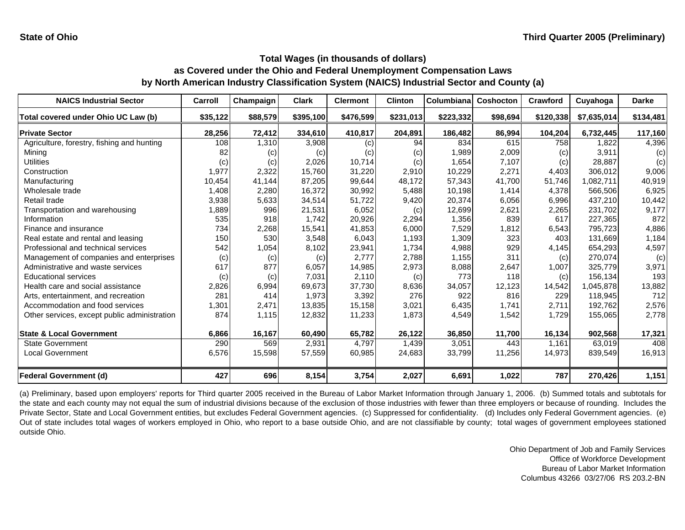| <b>NAICS Industrial Sector</b>               | Carroll  | Champaign | <b>Clark</b> | <b>Clermont</b> | <b>Clinton</b> | <b>Columbiana</b> | <b>Coshocton</b> | Crawford  | Cuyahoga    | <b>Darke</b> |
|----------------------------------------------|----------|-----------|--------------|-----------------|----------------|-------------------|------------------|-----------|-------------|--------------|
| Total covered under Ohio UC Law (b)          | \$35,122 | \$88,579  | \$395,100    | \$476,599       | \$231,013      | \$223,332         | \$98,694         | \$120,338 | \$7,635,014 | \$134,481    |
| <b>Private Sector</b>                        | 28,256   | 72,412    | 334,610      | 410,817         | 204,891        | 186,482           | 86,994           | 104,204   | 6,732,445   | 117,160      |
| Agriculture, forestry, fishing and hunting   | 108      | 1,310     | 3,908        | (c)             | 94             | 834               | 615              | 758       | 1,822       | 4,396        |
| Mining                                       | 82       | (c)       | (c)          | (c)             | (c)            | 1,989             | 2,009            | (c)       | 3,911       | (c)          |
| <b>Utilities</b>                             | (c)      | (c)       | 2,026        | 10,714          | (c)            | 1,654             | 7,107            | (c)       | 28,887      | (c)          |
| Construction                                 | 1,977    | 2,322     | 15,760       | 31,220          | 2,910          | 10,229            | 2,271            | 4,403     | 306,012     | 9,006        |
| Manufacturing                                | 10,454   | 41,144    | 87,205       | 99,644          | 48,172         | 57,343            | 41,700           | 51,746    | 1,082,711   | 40,919       |
| Wholesale trade                              | 1,408    | 2,280     | 16,372       | 30,992          | 5,488          | 10,198            | 1,414            | 4,378     | 566,506     | 6,925        |
| Retail trade                                 | 3,938    | 5,633     | 34,514       | 51,722          | 9,420          | 20,374            | 6,056            | 6,996     | 437,210     | 10,442       |
| Transportation and warehousing               | 1,889    | 996       | 21,531       | 6,052           | (c)            | 12,699            | 2,621            | 2,265     | 231,702     | 9,177        |
| Information                                  | 535      | 918       | 1,742        | 20,926          | 2,294          | 1,356             | 839              | 617       | 227,365     | 872          |
| Finance and insurance                        | 734      | 2,268     | 15,541       | 41,853          | 6,000          | 7,529             | 1,812            | 6,543     | 795,723     | 4,886        |
| Real estate and rental and leasing           | 150      | 530       | 3,548        | 6,043           | 1,193          | 1,309             | 323              | 403       | 131,669     | 1,184        |
| Professional and technical services          | 542      | 1,054     | 8,102        | 23,941          | 1,734          | 4,988             | 929              | 4,145     | 654,293     | 4,597        |
| Management of companies and enterprises      | (c)      | (c)       | (c)          | 2,777           | 2,788          | 1,155             | 311              | (c)       | 270,074     | (c)          |
| Administrative and waste services            | 617      | 877       | 6,057        | 14,985          | 2,973          | 8,088             | 2,647            | 1,007     | 325,779     | 3,971        |
| <b>Educational services</b>                  | (c)      | (c)       | 7,031        | 2,110           | (c)            | 773               | 118              | (c)       | 156,134     | 193          |
| Health care and social assistance            | 2,826    | 6,994     | 69,673       | 37,730          | 8,636          | 34,057            | 12,123           | 14,542    | 1,045,878   | 13,882       |
| Arts, entertainment, and recreation          | 281      | 414       | 1,973        | 3,392           | 276            | 922               | 816              | 229       | 118,945     | 712          |
| Accommodation and food services              | 1,301    | 2,471     | 13,835       | 15,158          | 3,021          | 6,435             | 1,741            | 2,711     | 192,762     | 2,576        |
| Other services, except public administration | 874      | 1,115     | 12,832       | 11,233          | 1,873          | 4,549             | 1,542            | 1,729     | 155,065     | 2,778        |
| <b>State &amp; Local Government</b>          | 6,866    | 16,167    | 60,490       | 65,782          | 26,122         | 36,850            | 11,700           | 16,134    | 902,568     | 17,321       |
| <b>State Government</b>                      | 290      | 569       | 2,931        | 4,797           | 1,439          | 3,051             | 443              | 1,161     | 63,019      | 408          |
| <b>Local Government</b>                      | 6,576    | 15,598    | 57,559       | 60,985          | 24,683         | 33,799            | 11,256           | 14,973    | 839,549     | 16,913       |
| <b>Federal Government (d)</b>                | 427      | 696       | 8,154        | 3,754           | 2,027          | 6,691             | 1,022            | 787       | 270,426     | 1,151        |

(a) Preliminary, based upon employers' reports for Third quarter 2005 received in the Bureau of Labor Market Information through January 1, 2006. (b) Summed totals and subtotals for the state and each county may not equal the sum of industrial divisions because of the exclusion of those industries with fewer than three employers or because of rounding. Includes the Private Sector, State and Local Government entities, but excludes Federal Government agencies. (c) Suppressed for confidentiality. (d) Includes only Federal Government agencies. (e) Out of state includes total wages of workers employed in Ohio, who report to a base outside Ohio, and are not classifiable by county; total wages of government employees stationed outside Ohio.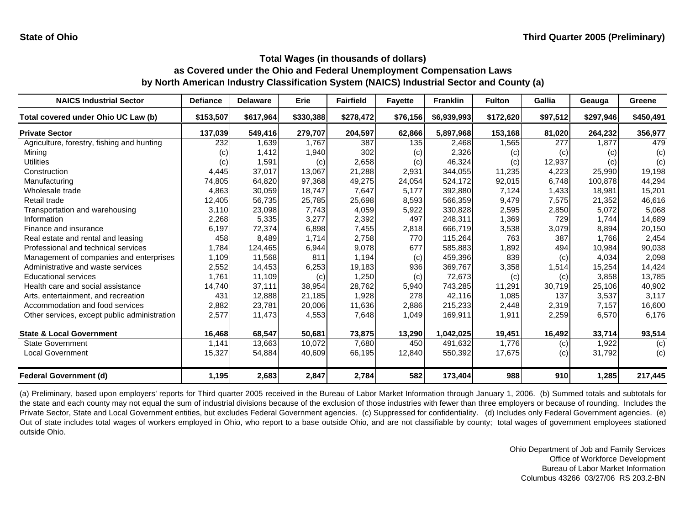| <b>NAICS Industrial Sector</b>               | <b>Defiance</b> | <b>Delaware</b> | Erie      | <b>Fairfield</b> | <b>Fayette</b> | <b>Franklin</b> | <b>Fulton</b> | Gallia   | Geauga    | Greene    |
|----------------------------------------------|-----------------|-----------------|-----------|------------------|----------------|-----------------|---------------|----------|-----------|-----------|
| Total covered under Ohio UC Law (b)          | \$153,507       | \$617,964       | \$330,388 | \$278,472        | \$76,156       | \$6,939,993     | \$172,620     | \$97,512 | \$297,946 | \$450,491 |
| <b>Private Sector</b>                        | 137,039         | 549,416         | 279,707   | 204,597          | 62,866         | 5,897,968       | 153,168       | 81,020   | 264,232   | 356,977   |
| Agriculture, forestry, fishing and hunting   | 232             | 1,639           | 1,767     | 387              | 135            | 2,468           | 1,565         | 277      | 1,877     | 479       |
| Mining                                       | (c)             | 1,412           | 1,940     | 302              | (c)            | 2,326           | (c)           | (c)      | (c)       | (c)       |
| <b>Utilities</b>                             | (c)             | 1,591           | (c)       | 2,658            | (c)            | 46,324          | (c)           | 12,937   | (c)       | (c)       |
| Construction                                 | 4,445           | 37,017          | 13,067    | 21,288           | 2,931          | 344,055         | 11,235        | 4,223    | 25,990    | 19,198    |
| Manufacturing                                | 74,805          | 64,820          | 97,368    | 49,275           | 24,054         | 524,172         | 92,015        | 6,748    | 100,878   | 44,294    |
| Wholesale trade                              | 4,863           | 30,059          | 18,747    | 7,647            | 5,177          | 392,880         | 7,124         | 1,433    | 18,981    | 15,201    |
| Retail trade                                 | 12,405          | 56,735          | 25,785    | 25,698           | 8,593          | 566,359         | 9,479         | 7,575    | 21,352    | 46,616    |
| Transportation and warehousing               | 3.110           | 23,098          | 7,743     | 4,059            | 5,922          | 330,828         | 2,595         | 2,850    | 5,072     | 5,068     |
| Information                                  | 2,268           | 5,335           | 3,277     | 2,392            | 497            | 248,311         | 1,369         | 729      | 1,744     | 14,689    |
| Finance and insurance                        | 6,197           | 72,374          | 6,898     | 7,455            | 2,818          | 666,719         | 3,538         | 3,079    | 8,894     | 20,150    |
| Real estate and rental and leasing           | 458             | 8,489           | 1,714     | 2,758            | 770            | 115,264         | 763           | 387      | 1.766     | 2,454     |
| Professional and technical services          | 1,784           | 124,465         | 6,944     | 9,078            | 677            | 585,883         | 1,892         | 494      | 10,984    | 90,038    |
| Management of companies and enterprises      | 1,109           | 11,568          | 811       | 1,194            | (c)            | 459,396         | 839           | (c)      | 4,034     | 2,098     |
| Administrative and waste services            | 2,552           | 14,453          | 6,253     | 19,183           | 936            | 369,767         | 3,358         | 1,514    | 15,254    | 14,424    |
| <b>Educational services</b>                  | 1,761           | 11,109          | (c)       | 1,250            | (c)            | 72,673          | (c)           | (c)      | 3,858     | 13,785    |
| Health care and social assistance            | 14,740          | 37,111          | 38,954    | 28,762           | 5,940          | 743,285         | 11,291        | 30,719   | 25,106    | 40,902    |
| Arts, entertainment, and recreation          | 431             | 12,888          | 21,185    | 1,928            | 278            | 42,116          | 1,085         | 137      | 3,537     | 3,117     |
| Accommodation and food services              | 2,882           | 23,781          | 20,006    | 11,636           | 2,886          | 215,233         | 2,448         | 2,319    | 7,157     | 16,600    |
| Other services, except public administration | 2,577           | 11,473          | 4,553     | 7,648            | 1,049          | 169,911         | 1,911         | 2,259    | 6,570     | 6,176     |
| <b>State &amp; Local Government</b>          | 16,468          | 68,547          | 50,681    | 73,875           | 13,290         | 1,042,025       | 19,451        | 16,492   | 33,714    | 93,514    |
| <b>State Government</b>                      | 1,141           | 13,663          | 10,072    | 7,680            | 450            | 491,632         | 1,776         | (c)      | 1,922     | (c)       |
| <b>Local Government</b>                      | 15,327          | 54,884          | 40,609    | 66,195           | 12,840         | 550,392         | 17,675        | (c)      | 31,792    | (c)       |
| <b>Federal Government (d)</b>                | 1,195           | 2,683           | 2,847     | 2,784            | 582            | 173,404         | 988           | 910      | 1,285     | 217,445   |

(a) Preliminary, based upon employers' reports for Third quarter 2005 received in the Bureau of Labor Market Information through January 1, 2006. (b) Summed totals and subtotals for the state and each county may not equal the sum of industrial divisions because of the exclusion of those industries with fewer than three employers or because of rounding. Includes the Private Sector, State and Local Government entities, but excludes Federal Government agencies. (c) Suppressed for confidentiality. (d) Includes only Federal Government agencies. (e) Out of state includes total wages of workers employed in Ohio, who report to a base outside Ohio, and are not classifiable by county; total wages of government employees stationed outside Ohio.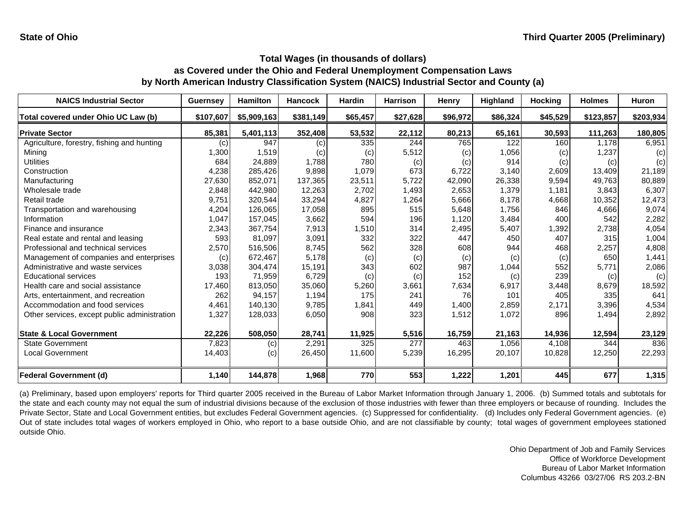| <b>NAICS Industrial Sector</b>               | <b>Guernsey</b> | <b>Hamilton</b> | <b>Hancock</b> | <b>Hardin</b> | <b>Harrison</b> | Henry    | <b>Highland</b> | <b>Hocking</b> | <b>Holmes</b> | <b>Huron</b> |
|----------------------------------------------|-----------------|-----------------|----------------|---------------|-----------------|----------|-----------------|----------------|---------------|--------------|
| Total covered under Ohio UC Law (b)          | \$107,607       | \$5,909,163     | \$381,149      | \$65,457      | \$27,628        | \$96,972 | \$86,324        | \$45,529       | \$123,857     | \$203,934    |
| <b>Private Sector</b>                        | 85,381          | 5,401,113       | 352,408        | 53,532        | 22,112          | 80,213   | 65,161          | 30,593         | 111,263       | 180,805      |
| Agriculture, forestry, fishing and hunting   | (c)             | 947             | (c)            | 335           | 244             | 765      | 122             | 160            | 1.178         | 6,951        |
| Mining                                       | 1,300           | 1,519           | (c)            | (c)           | 5,512           | (c)      | 1,056           | (c)            | 1,237         | (c)          |
| <b>Utilities</b>                             | 684             | 24,889          | 1,788          | 780           | (c)             | (c)      | 914             | (c)            | (c)           | (c)          |
| Construction                                 | 4,238           | 285,426         | 9,898          | 1,079         | 673             | 6,722    | 3,140           | 2,609          | 13,409        | 21,189       |
| Manufacturing                                | 27,630          | 852,071         | 137,365        | 23,511        | 5,722           | 42,090   | 26,338          | 9,594          | 49,763        | 80,889       |
| Wholesale trade                              | 2,848           | 442,980         | 12,263         | 2,702         | 1,493           | 2,653    | 1,379           | 1,181          | 3,843         | 6,307        |
| Retail trade                                 | 9,751           | 320,544         | 33,294         | 4,827         | 1,264           | 5,666    | 8,178           | 4,668          | 10,352        | 12,473       |
| Transportation and warehousing               | 4,204           | 126,065         | 17,058         | 895           | 515             | 5,648    | 1,756           | 846            | 4,666         | 9,074        |
| Information                                  | 1,047           | 157,045         | 3,662          | 594           | 196             | 1,120    | 3,484           | 400            | 542           | 2,282        |
| Finance and insurance                        | 2,343           | 367,754         | 7,913          | 1,510         | 314             | 2,495    | 5,407           | 1,392          | 2,738         | 4,054        |
| Real estate and rental and leasing           | 593             | 81,097          | 3,091          | 332           | 322             | 447      | 450             | 407            | 315           | 1,004        |
| Professional and technical services          | 2,570           | 516,506         | 8,745          | 562           | 328             | 608      | 944             | 468            | 2,257         | 4,808        |
| Management of companies and enterprises      | (c)             | 672,467         | 5,178          | (c)           | (c)             | (c)      | (c)             | (c)            | 650           | 1,441        |
| Administrative and waste services            | 3,038           | 304,474         | 15,191         | 343           | 602             | 987      | 1,044           | 552            | 5,771         | 2,086        |
| <b>Educational services</b>                  | 193             | 71,959          | 6,729          | (c)           | (c)             | 152      | (c)             | 239            | (c)           | (c)          |
| Health care and social assistance            | 17,460          | 813,050         | 35,060         | 5,260         | 3,661           | 7,634    | 6,917           | 3,448          | 8,679         | 18,592       |
| Arts, entertainment, and recreation          | 262             | 94,157          | 1,194          | 175           | 241             | 76       | 101             | 405            | 335           | 641          |
| Accommodation and food services              | 4,461           | 140,130         | 9,785          | 1,841         | 449             | 1,400    | 2,859           | 2,171          | 3,396         | 4,534        |
| Other services, except public administration | 1,327           | 128,033         | 6,050          | 908           | 323             | 1,512    | 1,072           | 896            | 1,494         | 2,892        |
| <b>State &amp; Local Government</b>          | 22,226          | 508,050         | 28,741         | 11,925        | 5,516           | 16,759   | 21,163          | 14,936         | 12,594        | 23,129       |
| <b>State Government</b>                      | 7,823           | (c)             | 2,291          | 325           | 277             | 463      | 1,056           | 4.108          | 344           | 836          |
| <b>Local Government</b>                      | 14,403          | (c)             | 26,450         | 11,600        | 5,239           | 16,295   | 20,107          | 10,828         | 12,250        | 22,293       |
| <b>Federal Government (d)</b>                | 1,140           | 144,878         | 1,968          | 770           | 553             | 1,222    | 1,201           | 445            | 677           | 1,315        |

(a) Preliminary, based upon employers' reports for Third quarter 2005 received in the Bureau of Labor Market Information through January 1, 2006. (b) Summed totals and subtotals for the state and each county may not equal the sum of industrial divisions because of the exclusion of those industries with fewer than three employers or because of rounding. Includes the Private Sector, State and Local Government entities, but excludes Federal Government agencies. (c) Suppressed for confidentiality. (d) Includes only Federal Government agencies. (e) Out of state includes total wages of workers employed in Ohio, who report to a base outside Ohio, and are not classifiable by county; total wages of government employees stationed outside Ohio.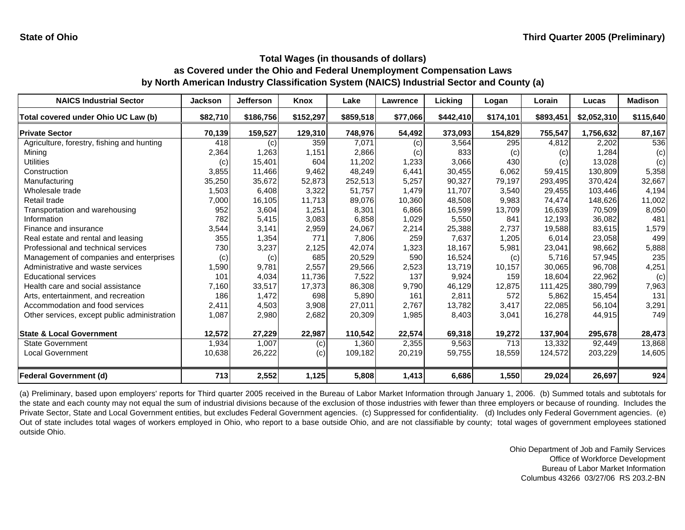| <b>NAICS Industrial Sector</b>               | <b>Jackson</b> | <b>Jefferson</b> | Knox      | Lake      | Lawrence | Licking   | Logan     | Lorain    | Lucas       | <b>Madison</b> |
|----------------------------------------------|----------------|------------------|-----------|-----------|----------|-----------|-----------|-----------|-------------|----------------|
| Total covered under Ohio UC Law (b)          | \$82,710       | \$186,756        | \$152,297 | \$859,518 | \$77,066 | \$442,410 | \$174,101 | \$893,451 | \$2,052,310 | \$115,640      |
| <b>Private Sector</b>                        | 70,139         | 159,527          | 129,310   | 748,976   | 54,492   | 373,093   | 154,829   | 755,547   | 1,756,632   | 87,167         |
| Agriculture, forestry, fishing and hunting   | 418            | (c)              | 359       | 7,071     | (c)      | 3,564     | 295       | 4,812     | 2,202       | 536            |
| Mining                                       | 2,364          | 1,263            | 1,151     | 2,866     | (c)      | 833       | (c)       | (c)       | 1,284       | (c)            |
| <b>Utilities</b>                             | (c)            | 15,401           | 604       | 11,202    | 1,233    | 3,066     | 430       | (c)       | 13,028      | (c)            |
| Construction                                 | 3,855          | 11,466           | 9,462     | 48,249    | 6,441    | 30,455    | 6,062     | 59,415    | 130,809     | 5,358          |
| Manufacturing                                | 35,250         | 35,672           | 52,873    | 252,513   | 5,257    | 90,327    | 79,197    | 293,495   | 370,424     | 32,667         |
| Wholesale trade                              | 1,503          | 6,408            | 3,322     | 51,757    | 1,479    | 11,707    | 3,540     | 29,455    | 103,446     | 4,194          |
| Retail trade                                 | 7,000          | 16,105           | 11,713    | 89,076    | 10,360   | 48,508    | 9,983     | 74,474    | 148,626     | 11,002         |
| Transportation and warehousing               | 952            | 3,604            | 1,251     | 8,301     | 6,866    | 16,599    | 13,709    | 16,639    | 70,509      | 8,050          |
| Information                                  | 782            | 5,415            | 3,083     | 6,858     | 1,029    | 5,550     | 841       | 12,193    | 36,082      | 481            |
| Finance and insurance                        | 3,544          | 3,141            | 2,959     | 24,067    | 2,214    | 25,388    | 2,737     | 19,588    | 83,615      | 1,579          |
| Real estate and rental and leasing           | 355            | 1,354            | 771       | 7,806     | 259      | 7,637     | 1,205     | 6,014     | 23,058      | 499            |
| Professional and technical services          | 730            | 3,237            | 2,125     | 42,074    | 1,323    | 18,167    | 5,981     | 23,041    | 98,662      | 5,888          |
| Management of companies and enterprises      | (c)            | (c)              | 685       | 20,529    | 590      | 16,524    | (c)       | 5,716     | 57,945      | 235            |
| Administrative and waste services            | 1,590          | 9,781            | 2,557     | 29,566    | 2,523    | 13,719    | 10,157    | 30,065    | 96,708      | 4,251          |
| <b>Educational services</b>                  | 101            | 4,034            | 11,736    | 7,522     | 137      | 9,924     | 159       | 18,604    | 22,962      | (c)            |
| Health care and social assistance            | 7,160          | 33,517           | 17,373    | 86,308    | 9,790    | 46,129    | 12,875    | 111,425   | 380,799     | 7,963          |
| Arts, entertainment, and recreation          | 186            | 1,472            | 698       | 5,890     | 161      | 2,811     | 572       | 5,862     | 15,454      | 131            |
| Accommodation and food services              | 2,411          | 4,503            | 3,908     | 27,011    | 2,767    | 13,782    | 3,417     | 22,085    | 56,104      | 3,291          |
| Other services, except public administration | 1,087          | 2,980            | 2,682     | 20,309    | 1,985    | 8,403     | 3,041     | 16,278    | 44,915      | 749            |
| <b>State &amp; Local Government</b>          | 12,572         | 27,229           | 22,987    | 110,542   | 22,574   | 69,318    | 19,272    | 137,904   | 295,678     | 28,473         |
| <b>State Government</b>                      | 1,934          | 1,007            | (c)       | 1,360     | 2,355    | 9,563     | 713       | 13,332    | 92,449      | 13,868         |
| <b>Local Government</b>                      | 10,638         | 26,222           | (c)       | 109,182   | 20,219   | 59,755    | 18,559    | 124,572   | 203,229     | 14,605         |
| <b>Federal Government (d)</b>                | 713            | 2,552            | 1,125     | 5,808     | 1,413    | 6,686     | 1,550     | 29,024    | 26,697      | 924            |

(a) Preliminary, based upon employers' reports for Third quarter 2005 received in the Bureau of Labor Market Information through January 1, 2006. (b) Summed totals and subtotals for the state and each county may not equal the sum of industrial divisions because of the exclusion of those industries with fewer than three employers or because of rounding. Includes the Private Sector, State and Local Government entities, but excludes Federal Government agencies. (c) Suppressed for confidentiality. (d) Includes only Federal Government agencies. (e) Out of state includes total wages of workers employed in Ohio, who report to a base outside Ohio, and are not classifiable by county; total wages of government employees stationed outside Ohio.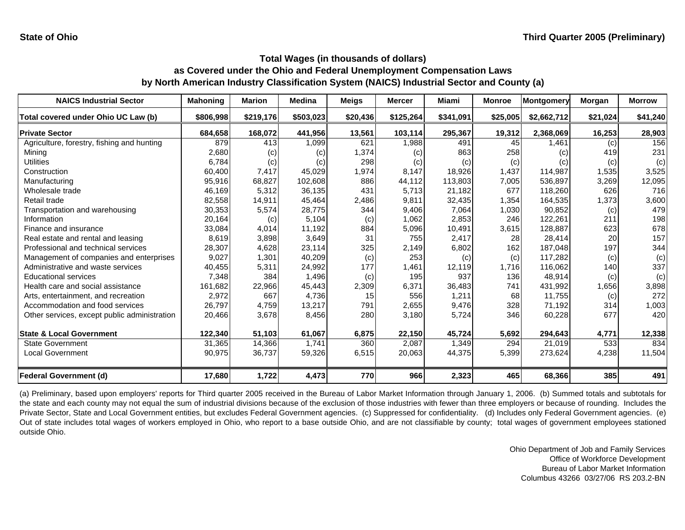| <b>NAICS Industrial Sector</b>               | <b>Mahoning</b> | <b>Marion</b> | <b>Medina</b> | <b>Meigs</b> | <b>Mercer</b> | <b>Miami</b> | <b>Monroe</b> | <b>Montgomery</b> | Morgan   | <b>Morrow</b> |
|----------------------------------------------|-----------------|---------------|---------------|--------------|---------------|--------------|---------------|-------------------|----------|---------------|
| Total covered under Ohio UC Law (b)          | \$806,998       | \$219,176     | \$503,023     | \$20,436     | \$125,264     | \$341,091    | \$25,005      | \$2,662,712       | \$21,024 | \$41,240      |
| <b>Private Sector</b>                        | 684,658         | 168,072       | 441,956       | 13,561       | 103,114       | 295,367      | 19,312        | 2,368,069         | 16,253   | 28,903        |
| Agriculture, forestry, fishing and hunting   | 879             | 413           | 1,099         | 621          | 1,988         | 491          | 45            | 1.461             | (c)      | 156           |
| Mining                                       | 2,680           | (c)           | (c)           | 1,374        | (c)           | 863          | 258           | (c)               | 419      | 231           |
| <b>Utilities</b>                             | 6,784           | (c)           | (c)           | 298          | (c)           | (c)          | (c)           | (C)               | (c)      | (c)           |
| Construction                                 | 60,400          | 7,417         | 45,029        | 1,974        | 8.147         | 18,926       | 1,437         | 114,987           | 1,535    | 3,525         |
| Manufacturing                                | 95,916          | 68,827        | 102,608       | 886          | 44,112        | 113,803      | 7,005         | 536,897           | 3,269    | 12,095        |
| Wholesale trade                              | 46,169          | 5,312         | 36,135        | 431          | 5.713         | 21,182       | 677           | 118,260           | 626      | 716           |
| Retail trade                                 | 82,558          | 14,911        | 45,464        | 2,486        | 9,811         | 32,435       | 1,354         | 164,535           | 1,373    | 3,600         |
| Transportation and warehousing               | 30,353          | 5,574         | 28,775        | 344          | 9,406         | 7,064        | 1,030         | 90,852            | (c)      | 479           |
| Information                                  | 20,164          | (c)           | 5,104         | (c)          | 1,062         | 2,853        | 246           | 122,261           | 211      | 198           |
| Finance and insurance                        | 33,084          | 4,014         | 11,192        | 884          | 5,096         | 10,491       | 3,615         | 128,887           | 623      | 678           |
| Real estate and rental and leasing           | 8,619           | 3,898         | 3,649         | 31           | 755           | 2,417        | 28            | 28,414            | 20       | 157           |
| Professional and technical services          | 28,307          | 4,628         | 23,114        | 325          | 2,149         | 6,802        | 162           | 187,048           | 197      | 344           |
| Management of companies and enterprises      | 9,027           | 1,301         | 40,209        | (c)          | 253           | (c)          | (c)           | 117,282           | (c)      | (c)           |
| Administrative and waste services            | 40,455          | 5,311         | 24,992        | 177          | 1,461         | 12,119       | 1,716         | 116,062           | 140      | 337           |
| <b>Educational services</b>                  | 7,348           | 384           | 1,496         | (c)          | 195           | 937          | 136           | 48,914            | (c)      | (c)           |
| Health care and social assistance            | 161,682         | 22,966        | 45,443        | 2,309        | 6,371         | 36,483       | 741           | 431,992           | 1,656    | 3,898         |
| Arts, entertainment, and recreation          | 2,972           | 667           | 4,736         | 15           | 556           | 1,211        | 68            | 11,755            | (c)      | 272           |
| Accommodation and food services              | 26,797          | 4,759         | 13,217        | 791          | 2,655         | 9,476        | 328           | 71,192            | 314      | 1,003         |
| Other services, except public administration | 20,466          | 3,678         | 8,456         | 280          | 3,180         | 5,724        | 346           | 60,228            | 677      | 420           |
| <b>State &amp; Local Government</b>          | 122,340         | 51,103        | 61,067        | 6,875        | 22,150        | 45,724       | 5,692         | 294,643           | 4,771    | 12,338        |
| <b>State Government</b>                      | 31,365          | 14,366        | 1.741         | 360          | 2,087         | 1,349        | 294           | 21,019            | 533      | 834           |
| <b>Local Government</b>                      | 90,975          | 36,737        | 59,326        | 6,515        | 20,063        | 44,375       | 5,399         | 273,624           | 4,238    | 11,504        |
| <b>Federal Government (d)</b>                | 17,680          | 1,722         | 4,473         | 770          | 966           | 2,323        | 465           | 68,366            | 385      | 491           |

(a) Preliminary, based upon employers' reports for Third quarter 2005 received in the Bureau of Labor Market Information through January 1, 2006. (b) Summed totals and subtotals for the state and each county may not equal the sum of industrial divisions because of the exclusion of those industries with fewer than three employers or because of rounding. Includes the Private Sector, State and Local Government entities, but excludes Federal Government agencies. (c) Suppressed for confidentiality. (d) Includes only Federal Government agencies. (e) Out of state includes total wages of workers employed in Ohio, who report to a base outside Ohio, and are not classifiable by county; total wages of government employees stationed outside Ohio.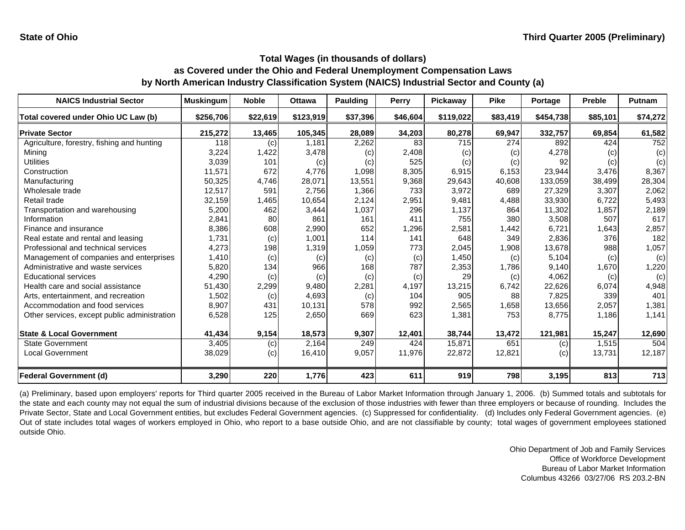| <b>NAICS Industrial Sector</b>               | <b>Muskingum</b> | <b>Noble</b> | <b>Ottawa</b> | Paulding          | <b>Perry</b> | Pickaway          | <b>Pike</b> | Portage   | <b>Preble</b> | <b>Putnam</b> |
|----------------------------------------------|------------------|--------------|---------------|-------------------|--------------|-------------------|-------------|-----------|---------------|---------------|
| Total covered under Ohio UC Law (b)          | \$256,706        | \$22,619     | \$123,919     | \$37,396          | \$46,604     | \$119,022         | \$83,419    | \$454,738 | \$85,101      | \$74,272      |
| <b>Private Sector</b>                        | 215,272          | 13,465       | 105,345       | 28,089            | 34,203       | 80,278            | 69,947      | 332,757   | 69,854        | 61,582        |
| Agriculture, forestry, fishing and hunting   | 118              | (c)          | 1,181         | 2,262             | 83           | 715               | 274         | 892       | 424           | 752           |
| Mining                                       | 3,224            | 1,422        | 3,478         | $\left( c\right)$ | 2,408        | $\left( c\right)$ | (c)         | 4,278     | (c)           | (c)           |
| <b>Utilities</b>                             | 3,039            | 101          | (c)           | (c)               | 525          | (c)               | (c)         | 92        | (c)           | (c)           |
| Construction                                 | 11,571           | 672          | 4,776         | 1,098             | 8,305        | 6,915             | 6,153       | 23,944    | 3,476         | 8,367         |
| Manufacturing                                | 50,325           | 4,746        | 28,071        | 13,551            | 9,368        | 29,643            | 40,608      | 133,059   | 38,499        | 28,304        |
| Wholesale trade                              | 12,517           | 591          | 2,756         | 1,366             | 733          | 3,972             | 689         | 27,329    | 3,307         | 2,062         |
| Retail trade                                 | 32,159           | 1,465        | 10,654        | 2,124             | 2,951        | 9,481             | 4,488       | 33,930    | 6,722         | 5,493         |
| Transportation and warehousing               | 5,200            | 462          | 3,444         | 1,037             | 296          | 1,137             | 864         | 11,302    | 1,857         | 2,189         |
| Information                                  | 2,841            | 80           | 861           | 161               | 411          | 755               | 380         | 3,508     | 507           | 617           |
| Finance and insurance                        | 8,386            | 608          | 2,990         | 652               | 1,296        | 2,581             | 1,442       | 6,721     | 1,643         | 2,857         |
| Real estate and rental and leasing           | 1,731            | (c)          | 1,001         | 114               | 141          | 648               | 349         | 2,836     | 376           | 182           |
| Professional and technical services          | 4,273            | 198          | 1,319         | 1,059             | 773          | 2,045             | 1,908       | 13,678    | 988           | 1,057         |
| Management of companies and enterprises      | 1,410            | (c)          | (c)           | (c)               | (c)          | 1,450             | (c)         | 5,104     | (c)           | (c)           |
| Administrative and waste services            | 5,820            | 134          | 966           | 168               | 787          | 2,353             | 1,786       | 9,140     | 1,670         | 1,220         |
| <b>Educational services</b>                  | 4,290            | (c)          | (c)           | (c)               | (c)          | 29                | (c)         | 4,062     | (c)           | (c)           |
| Health care and social assistance            | 51,430           | 2,299        | 9,480         | 2,281             | 4,197        | 13,215            | 6,742       | 22,626    | 6,074         | 4,948         |
| Arts, entertainment, and recreation          | 1,502            | (c)          | 4,693         | (c)               | 104          | 905               | 88          | 7,825     | 339           | 401           |
| Accommodation and food services              | 8,907            | 431          | 10,131        | 578               | 992          | 2,565             | 1,658       | 13,656    | 2,057         | 1,381         |
| Other services, except public administration | 6,528            | 125          | 2,650         | 669               | 623          | 1,381             | 753         | 8,775     | 1,186         | 1,141         |
| <b>State &amp; Local Government</b>          | 41,434           | 9,154        | 18,573        | 9,307             | 12,401       | 38,744            | 13,472      | 121,981   | 15,247        | 12,690        |
| <b>State Government</b>                      | 3,405            | (c)          | 2,164         | 249               | 424          | 15,871            | 651         | (c)       | 1,515         | 504           |
| <b>Local Government</b>                      | 38,029           | (c)          | 16,410        | 9,057             | 11,976       | 22,872            | 12,821      | (c)       | 13,731        | 12,187        |
| Federal Government (d)                       | 3,290            | 220          | 1,776         | 423               | 611          | 919               | 798         | 3,195     | 813           | 713           |

(a) Preliminary, based upon employers' reports for Third quarter 2005 received in the Bureau of Labor Market Information through January 1, 2006. (b) Summed totals and subtotals for the state and each county may not equal the sum of industrial divisions because of the exclusion of those industries with fewer than three employers or because of rounding. Includes the Private Sector, State and Local Government entities, but excludes Federal Government agencies. (c) Suppressed for confidentiality. (d) Includes only Federal Government agencies. (e) Out of state includes total wages of workers employed in Ohio, who report to a base outside Ohio, and are not classifiable by county; total wages of government employees stationed outside Ohio.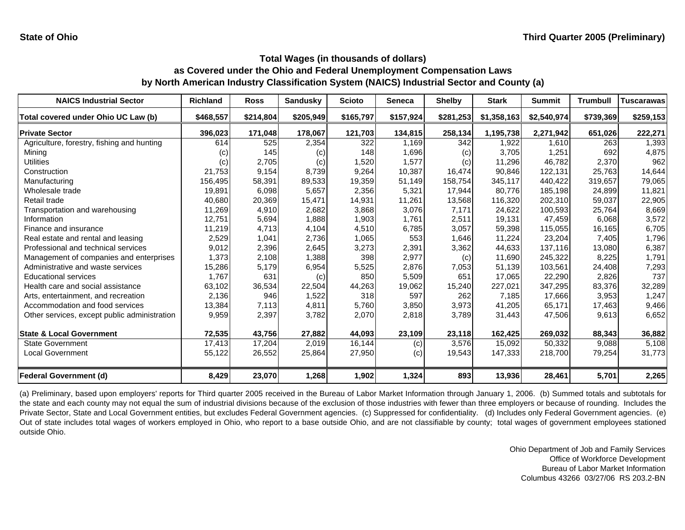| <b>NAICS Industrial Sector</b>               | <b>Richland</b>   | <b>Ross</b> | <b>Sandusky</b> | <b>Scioto</b> | <b>Seneca</b> | <b>Shelby</b> | <b>Stark</b> | <b>Summit</b> | <b>Trumbull</b> | <b>Tuscarawas</b> |
|----------------------------------------------|-------------------|-------------|-----------------|---------------|---------------|---------------|--------------|---------------|-----------------|-------------------|
| Total covered under Ohio UC Law (b)          | \$468,557         | \$214,804   | \$205,949       | \$165,797     | \$157,924     | \$281,253     | \$1,358,163  | \$2,540,974   | \$739,369       | \$259,153         |
| <b>Private Sector</b>                        | 396,023           | 171,048     | 178,067         | 121,703       | 134,815       | 258,134       | 1,195,738    | 2,271,942     | 651,026         | 222,271           |
| Agriculture, forestry, fishing and hunting   | 614               | 525         | 2,354           | 322           | 1,169         | 342           | 1,922        | 1,610         | 263             | 1,393             |
| Mining                                       | $\left( c\right)$ | 145         | (c)             | 148           | 1,696         | (c)           | 3,705        | 1,251         | 692             | 4,875             |
| <b>Utilities</b>                             | (c)               | 2,705       | (c)             | 1,520         | 1,577         | (c)           | 11,296       | 46,782        | 2,370           | 962               |
| Construction                                 | 21,753            | 9,154       | 8,739           | 9,264         | 10,387        | 16,474        | 90,846       | 122,131       | 25,763          | 14,644            |
| Manufacturing                                | 156,495           | 58,391      | 89,533          | 19,359        | 51,149        | 158,754       | 345,117      | 440.422       | 319,657         | 79,065            |
| Wholesale trade                              | 19,891            | 6,098       | 5,657           | 2,356         | 5,321         | 17,944        | 80.776       | 185,198       | 24,899          | 11,821            |
| Retail trade                                 | 40,680            | 20,369      | 15,471          | 14,931        | 11,261        | 13,568        | 116,320      | 202,310       | 59,037          | 22,905            |
| Transportation and warehousing               | 11,269            | 4,910       | 2,682           | 3,868         | 3,076         | 7,171         | 24,622       | 100,593       | 25,764          | 8,669             |
| Information                                  | 12,751            | 5,694       | 1,888           | 1,903         | 1,761         | 2,511         | 19,131       | 47,459        | 6,068           | 3,572             |
| Finance and insurance                        | 11,219            | 4,713       | 4,104           | 4.510         | 6,785         | 3,057         | 59,398       | 115,055       | 16,165          | 6,705             |
| Real estate and rental and leasing           | 2,529             | 1,041       | 2,736           | 1,065         | 553           | 1,646         | 11,224       | 23,204        | 7,405           | 1,796             |
| Professional and technical services          | 9,012             | 2,396       | 2,645           | 3,273         | 2,391         | 3,362         | 44,633       | 137,116       | 13,080          | 6,387             |
| Management of companies and enterprises      | 1,373             | 2,108       | 1,388           | 398           | 2,977         | (c)           | 11,690       | 245,322       | 8,225           | 1,791             |
| Administrative and waste services            | 15,286            | 5,179       | 6,954           | 5,525         | 2,876         | 7,053         | 51,139       | 103,561       | 24,408          | 7,293             |
| <b>Educational services</b>                  | 1,767             | 631         | (c)             | 850           | 5,509         | 651           | 17,065       | 22,290        | 2,826           | 737               |
| Health care and social assistance            | 63,102            | 36,534      | 22,504          | 44,263        | 19,062        | 15,240        | 227,021      | 347,295       | 83,376          | 32,289            |
| Arts, entertainment, and recreation          | 2,136             | 946         | 1,522           | 318           | 597           | 262           | 7,185        | 17,666        | 3,953           | 1,247             |
| Accommodation and food services              | 13,384            | 7,113       | 4,811           | 5,760         | 3,850         | 3,973         | 41,205       | 65,171        | 17,463          | 9,466             |
| Other services, except public administration | 9,959             | 2,397       | 3,782           | 2,070         | 2,818         | 3,789         | 31,443       | 47,506        | 9,613           | 6,652             |
| <b>State &amp; Local Government</b>          | 72,535            | 43,756      | 27,882          | 44,093        | 23,109        | 23,118        | 162,425      | 269,032       | 88,343          | 36,882            |
| <b>State Government</b>                      | 17,413            | 17,204      | 2,019           | 16,144        | (c)           | 3,576         | 15,092       | 50,332        | 9,088           | 5,108             |
| <b>Local Government</b>                      | 55,122            | 26,552      | 25,864          | 27,950        | (c)           | 19,543        | 147,333      | 218,700       | 79,254          | 31,773            |
| Federal Government (d)                       | 8,429             | 23,070      | 1,268           | 1,902         | 1,324         | 893           | 13,936       | 28,461        | 5,701           | 2,265             |

(a) Preliminary, based upon employers' reports for Third quarter 2005 received in the Bureau of Labor Market Information through January 1, 2006. (b) Summed totals and subtotals for the state and each county may not equal the sum of industrial divisions because of the exclusion of those industries with fewer than three employers or because of rounding. Includes the Private Sector, State and Local Government entities, but excludes Federal Government agencies. (c) Suppressed for confidentiality. (d) Includes only Federal Government agencies. (e) Out of state includes total wages of workers employed in Ohio, who report to a base outside Ohio, and are not classifiable by county; total wages of government employees stationed outside Ohio.